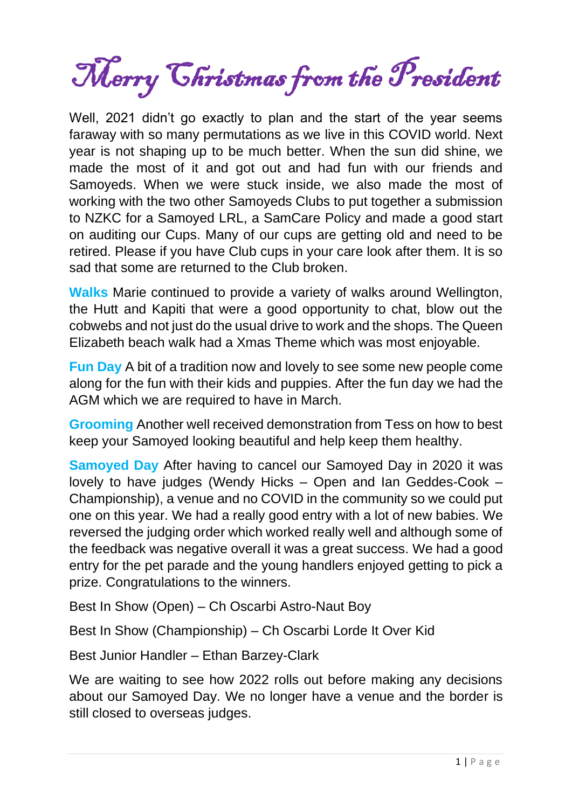Merry Christmas from the President

Well, 2021 didn't go exactly to plan and the start of the year seems faraway with so many permutations as we live in this COVID world. Next year is not shaping up to be much better. When the sun did shine, we made the most of it and got out and had fun with our friends and Samoyeds. When we were stuck inside, we also made the most of working with the two other Samoyeds Clubs to put together a submission to NZKC for a Samoyed LRL, a SamCare Policy and made a good start on auditing our Cups. Many of our cups are getting old and need to be retired. Please if you have Club cups in your care look after them. It is so sad that some are returned to the Club broken.

**Walks** Marie continued to provide a variety of walks around Wellington, the Hutt and Kapiti that were a good opportunity to chat, blow out the cobwebs and not just do the usual drive to work and the shops. The Queen Elizabeth beach walk had a Xmas Theme which was most enjoyable.

**Fun Day** A bit of a tradition now and lovely to see some new people come along for the fun with their kids and puppies. After the fun day we had the AGM which we are required to have in March.

**Grooming** Another well received demonstration from Tess on how to best keep your Samoyed looking beautiful and help keep them healthy.

**Samoyed Day** After having to cancel our Samoyed Day in 2020 it was lovely to have judges (Wendy Hicks – Open and Ian Geddes-Cook – Championship), a venue and no COVID in the community so we could put one on this year. We had a really good entry with a lot of new babies. We reversed the judging order which worked really well and although some of the feedback was negative overall it was a great success. We had a good entry for the pet parade and the young handlers enjoyed getting to pick a prize. Congratulations to the winners.

Best In Show (Open) – Ch Oscarbi Astro-Naut Boy

Best In Show (Championship) – Ch Oscarbi Lorde It Over Kid

Best Junior Handler – Ethan Barzey-Clark

We are waiting to see how 2022 rolls out before making any decisions about our Samoyed Day. We no longer have a venue and the border is still closed to overseas judges.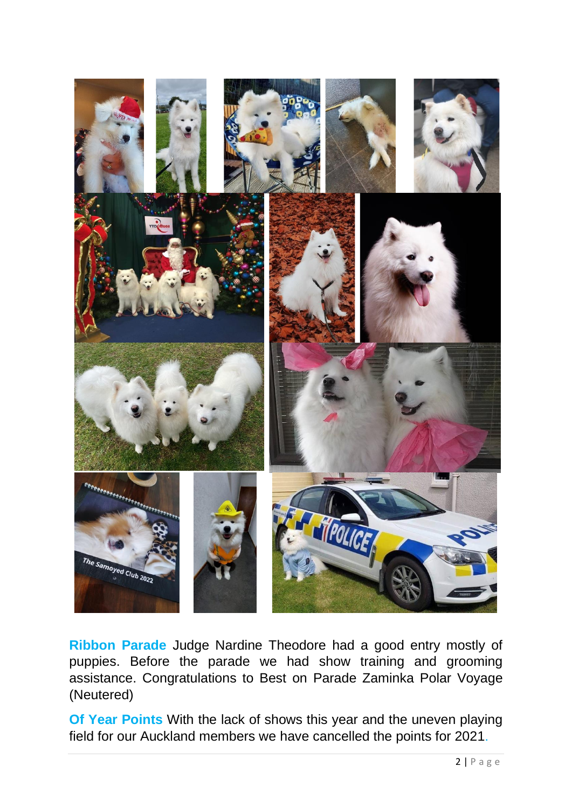

**Ribbon Parade** Judge Nardine Theodore had a good entry mostly of puppies. Before the parade we had show training and grooming assistance. Congratulations to Best on Parade Zaminka Polar Voyage (Neutered)

**Of Year Points** With the lack of shows this year and the uneven playing field for our Auckland members we have cancelled the points for 2021.